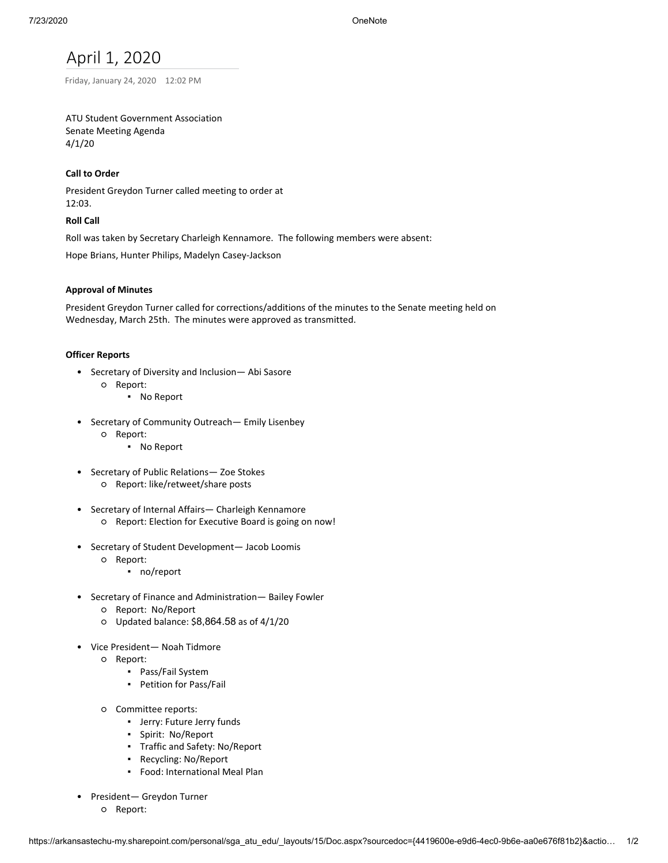# April 1, 2020

Friday, January 24, 2020 12:02 PM

# ATU Student Government Association Senate Meeting Agenda 4/1/20

# **Call to Order**

President Greydon Turner called meeting to order at 12:03.

# **Roll Call**

Roll was taken by Secretary Charleigh Kennamore. The following members were absent:

Hope Brians, Hunter Philips, Madelyn Casey-Jackson

# **Approval of Minutes**

President Greydon Turner called for corrections/additions of the minutes to the Senate meeting held on Wednesday, March 25th. The minutes were approved as transmitted.

# **Officer Reports**

- Secretary of Diversity and Inclusion— Abi Sasore
	- Report:
		- No Report
- Secretary of Community Outreach— Emily Lisenbey
	- Report:
		- No Report
- Secretary of Public Relations— Zoe Stokes
	- Report: like/retweet/share posts
- Secretary of Internal Affairs— Charleigh Kennamore
	- Report: Election for Executive Board is going on now!
- Secretary of Student Development— Jacob Loomis
	- Report:
		- no/report
- Secretary of Finance and Administration— Bailey Fowler
	- Report: No/Report
	- Updated balance: \$8,864.58 as of 4/1/20
- Vice President— Noah Tidmore
	- Report:
		- Pass/Fail System
		- **•** Petition for Pass/Fail
	- Committee reports:
		- Jerry: Future Jerry funds
		- Spirit: No/Report
		- Traffic and Safety: No/Report
		- Recycling: No/Report
		- Food: International Meal Plan
- President— Greydon Turner
	- Report: